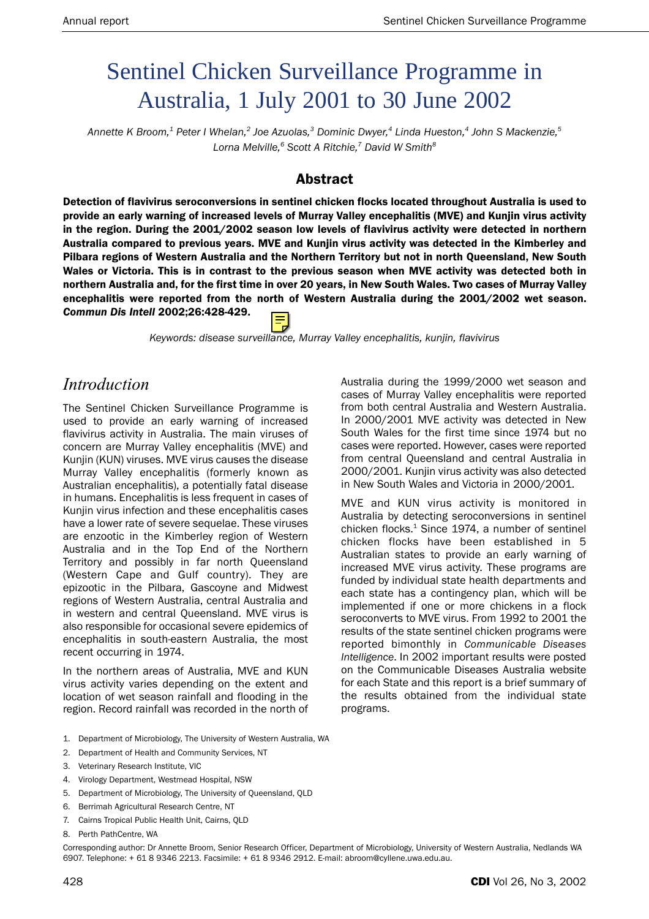# Sentinel Chicken Surveillance Programme in Australia, 1 July 2001 to 30 June 2002

*Annette K Broom,1 Peter I Whelan,2 Joe Azuolas,3 Dominic Dwyer,4 Linda Hueston,4 John S Mackenzie,5 Lorna Melville,6 Scott A Ritchie,7 David W Smith8*

#### Abstract

Detection of flavivirus seroconversions in sentinel chicken flocks located throughout Australia is used to provide an early warning of increased levels of Murray Valley encephalitis (MVE) and Kunjin virus activity in the region. During the 2001/2002 season low levels of flavivirus activity were detected in northern Australia compared to previous years. MVE and Kunjin virus activity was detected in the Kimberley and Pilbara regions of Western Australia and the Northern Territory but not in north Queensland, New South Wales or Victoria. This is in contrast to the previous season when MVE activity was detected both in northern Australia and, for the first time in over 20 years, in New South Wales. Two cases of Murray Valley encephalitis were reported from the north of Western Australia during the 2001/2002 wet season. *Commun Dis Intell* 2002;26:428-429.

*Keywords: disease surveillance, Murray Valley encephalitis, kunjin, flavivirus*

### *Introduction*

The Sentinel Chicken Surveillance Programme is used to provide an early warning of increased flavivirus activity in Australia. The main viruses of concern are Murray Valley encephalitis (MVE) and Kunjin (KUN) viruses. MVE virus causes the disease Murray Valley encephalitis (formerly known as Australian encephalitis), a potentially fatal disease in humans. Encephalitis is less frequent in cases of Kunjin virus infection and these encephalitis cases have a lower rate of severe sequelae. These viruses are enzootic in the Kimberley region of Western Australia and in the Top End of the Northern Territory and possibly in far north Queensland (Western Cape and Gulf country). They are epizootic in the Pilbara, Gascoyne and Midwest regions of Western Australia, central Australia and in western and central Queensland. MVE virus is also responsible for occasional severe epidemics of encephalitis in south-eastern Australia, the most recent occurring in 1974.

In the northern areas of Australia, MVE and KUN virus activity varies depending on the extent and location of wet season rainfall and flooding in the region. Record rainfall was recorded in the north of

Australia during the 1999/2000 wet season and cases of Murray Valley encephalitis were reported from both central Australia and Western Australia. In 2000/2001 MVE activity was detected in New South Wales for the first time since 1974 but no cases were reported. However, cases were reported from central Queensland and central Australia in 2000/2001. Kunjin virus activity was also detected in New South Wales and Victoria in 2000/2001.

MVE and KUN virus activity is monitored in Australia by detecting seroconversions in sentinel chicken flocks. $1$  Since 1974, a number of sentinel chicken flocks have been established in 5 Australian states to provide an early warning of increased MVE virus activity. These programs are funded by individual state health departments and each state has a contingency plan, which will be implemented if one or more chickens in a flock seroconverts to MVE virus. From 1992 to 2001 the results of the state sentinel chicken programs were reported bimonthly in *Communicable Diseases Intelligence*. In 2002 important results were posted on the Communicable Diseases Australia website for each State and this report is a brief summary of the results obtained from the individual state programs.

- 1. Department of Microbiology, The University of Western Australia, WA
- 2. Department of Health and Community Services, NT
- 3. Veterinary Research Institute, VIC
- 4. Virology Department, Westmead Hospital, NSW
- 5. Department of Microbiology, The University of Queensland, QLD
- 6. Berrimah Agricultural Research Centre, NT
- 7. Cairns Tropical Public Health Unit, Cairns, QLD
- 8. Perth PathCentre, WA

Corresponding author: Dr Annette Broom, Senior Research Officer, Department of Microbiology, University of Western Australia, Nedlands WA 6907. Telephone: + 61 8 9346 2213. Facsimile: + 61 8 9346 2912. E-mail: abroom@cyllene.uwa.edu.au.